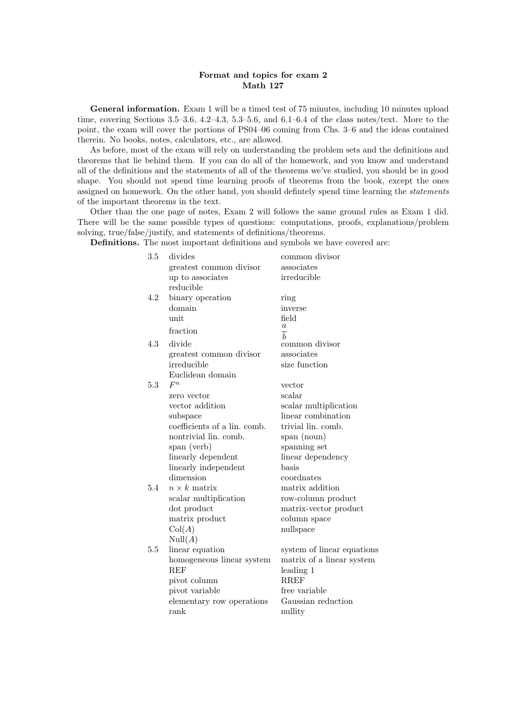## Format and topics for exam 2 Math 127

General information. Exam 1 will be a timed test of 75 minutes, including 10 minutes upload time, covering Sections 3.5–3.6, 4.2–4.3, 5.3–5.6, and 6.1–6.4 of the class notes/text. More to the point, the exam will cover the portions of PS04–06 coming from Chs. 3–6 and the ideas contained therein. No books, notes, calculators, etc., are allowed.

As before, most of the exam will rely on understanding the problem sets and the definitions and theorems that lie behind them. If you can do all of the homework, and you know and understand all of the definitions and the statements of all of the theorems we've studied, you should be in good shape. You should not spend time learning proofs of theorems from the book, except the ones assigned on homework. On the other hand, you should definitely spend time learning the *statements* of the important theorems in the text.

Other than the one page of notes, Exam 2 will follows the same ground rules as Exam 1 did. There will be the same possible types of questions: computations, proofs, explanations/problem solving, true/false/justify, and statements of definitions/theorems.

Definitions. The most important definitions and symbols we have covered are:

| 3.5 | divides                      | common divisor             |
|-----|------------------------------|----------------------------|
|     | greatest common divisor      | associates                 |
|     | up to associates             | irreducible                |
|     | reducible                    |                            |
| 4.2 | binary operation             | ring                       |
|     | domain                       | inverse                    |
|     | unit                         | field                      |
|     | fraction                     | $\it a$                    |
|     |                              | $\frac{1}{b}$              |
| 4.3 | divide                       | common divisor             |
|     | greatest common divisor      | associates                 |
|     | irreducible                  | size function              |
|     | Euclidean domain             |                            |
| 5.3 | $F^n$                        | vector                     |
|     | zero vector                  | scalar                     |
|     | vector addition              | scalar multiplication      |
|     | subspace                     | linear combination         |
|     | coefficients of a lin. comb. | trivial lin. comb.         |
|     | nontrivial lin. comb.        | span (noun)                |
|     | span (verb)                  | spanning set               |
|     | linearly dependent           | linear dependency          |
|     | linearly independent         | basis                      |
|     | dimension                    | coordnates                 |
| 5.4 | $n \times k$ matrix          | matrix addition            |
|     | scalar multiplication        | row-column product         |
|     | dot product                  | matrix-vector product      |
|     | matrix product               | column space               |
|     | Col(A)                       | nullspace                  |
|     | Null(A)                      |                            |
| 5.5 | linear equation              | system of linear equations |
|     | homogeneous linear system    | matrix of a linear system  |
|     | <b>REF</b>                   | leading 1                  |
|     | pivot column                 | <b>RREF</b>                |
|     | pivot variable               | free variable              |
|     | elementary row operations    | Gaussian reduction         |
|     | rank                         | nullity                    |
|     |                              |                            |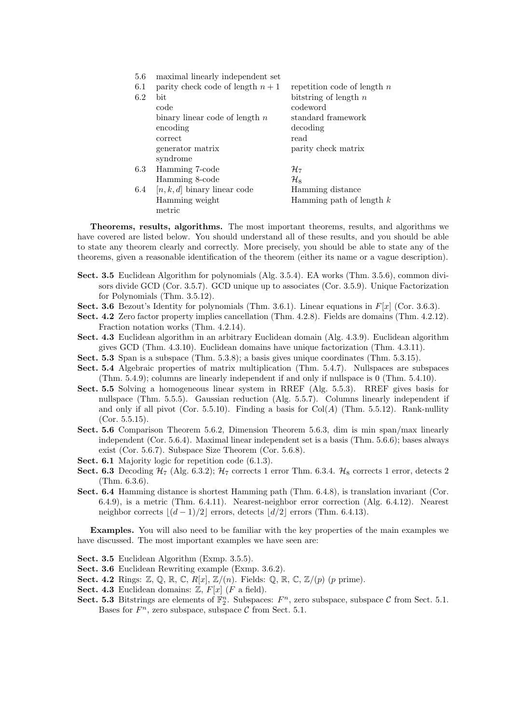| 5.6 | maximal linearly independent set  |                               |
|-----|-----------------------------------|-------------------------------|
| 6.1 | parity check code of length $n+1$ | repetition code of length $n$ |
| 6.2 | bit.                              | bitstring of length $n$       |
|     | code                              | codeword                      |
|     | binary linear code of length $n$  | standard framework            |
|     | encoding                          | decoding                      |
|     | correct                           | read                          |
|     | generator matrix                  | parity check matrix           |
|     | syndrome                          |                               |
| 6.3 | Hamming 7-code                    | $\mathcal{H}_{7}$             |
|     | Hamming 8-code                    | $\mathcal{H}_{8}$             |
| 6.4 | $[n, k, d]$ binary linear code    | Hamming distance              |
|     | Hamming weight                    | Hamming path of length $k$    |
|     | metric                            |                               |

Theorems, results, algorithms. The most important theorems, results, and algorithms we have covered are listed below. You should understand all of these results, and you should be able to state any theorem clearly and correctly. More precisely, you should be able to state any of the theorems, given a reasonable identification of the theorem (either its name or a vague description).

- Sect. 3.5 Euclidean Algorithm for polynomials (Alg. 3.5.4). EA works (Thm. 3.5.6), common divisors divide GCD (Cor. 3.5.7). GCD unique up to associates (Cor. 3.5.9). Unique Factorization for Polynomials (Thm. 3.5.12).
- Sect. 3.6 Bezout's Identity for polynomials (Thm. 3.6.1). Linear equations in  $F[x]$  (Cor. 3.6.3).
- Sect. 4.2 Zero factor property implies cancellation (Thm. 4.2.8). Fields are domains (Thm. 4.2.12). Fraction notation works (Thm. 4.2.14).
- Sect. 4.3 Euclidean algorithm in an arbitrary Euclidean domain (Alg. 4.3.9). Euclidean algorithm gives GCD (Thm. 4.3.10). Euclidean domains have unique factorization (Thm. 4.3.11).
- Sect. 5.3 Span is a subspace (Thm. 5.3.8); a basis gives unique coordinates (Thm. 5.3.15).
- Sect. 5.4 Algebraic properties of matrix multiplication (Thm. 5.4.7). Nullspaces are subspaces (Thm. 5.4.9); columns are linearly independent if and only if nullspace is 0 (Thm. 5.4.10).
- Sect. 5.5 Solving a homogeneous linear system in RREF (Alg. 5.5.3). RREF gives basis for nullspace (Thm. 5.5.5). Gaussian reduction (Alg. 5.5.7). Columns linearly independent if and only if all pivot (Cor. 5.5.10). Finding a basis for  $Col(A)$  (Thm. 5.5.12). Rank-nullity (Cor. 5.5.15).
- Sect. 5.6 Comparison Theorem 5.6.2, Dimension Theorem 5.6.3, dim is min span/max linearly independent (Cor. 5.6.4). Maximal linear independent set is a basis (Thm. 5.6.6); bases always exist (Cor. 5.6.7). Subspace Size Theorem (Cor. 5.6.8).
- Sect. 6.1 Majority logic for repetition code  $(6.1.3)$ .
- Sect. 6.3 Decoding  $H_7$  (Alg. 6.3.2);  $H_7$  corrects 1 error Thm. 6.3.4.  $H_8$  corrects 1 error, detects 2 (Thm. 6.3.6).
- Sect. 6.4 Hamming distance is shortest Hamming path (Thm. 6.4.8), is translation invariant (Cor. 6.4.9), is a metric (Thm. 6.4.11). Nearest-neighbor error correction (Alg. 6.4.12). Nearest neighbor corrects  $\lfloor (d-1)/2 \rfloor$  errors, detects  $\lfloor d/2 \rfloor$  errors (Thm. 6.4.13).

Examples. You will also need to be familiar with the key properties of the main examples we have discussed. The most important examples we have seen are:

- Sect. 3.5 Euclidean Algorithm (Exmp. 3.5.5).
- Sect. 3.6 Euclidean Rewriting example (Exmp. 3.6.2).
- Sect. 4.2 Rings:  $\mathbb{Z}, \mathbb{Q}, \mathbb{R}, \mathbb{C}, R[x], \mathbb{Z}/(n)$ . Fields:  $\mathbb{Q}, \mathbb{R}, \mathbb{C}, \mathbb{Z}/(p)$  (p prime).
- Sect. 4.3 Euclidean domains:  $Z, F[x]$  (*F* a field).
- Sect. 5.3 Bitstrings are elements of  $\mathbb{F}_2^n$ . Subspaces:  $F^n$ , zero subspace, subspace C from Sect. 5.1. Bases for  $F^n$ , zero subspace, subspace C from Sect. 5.1.